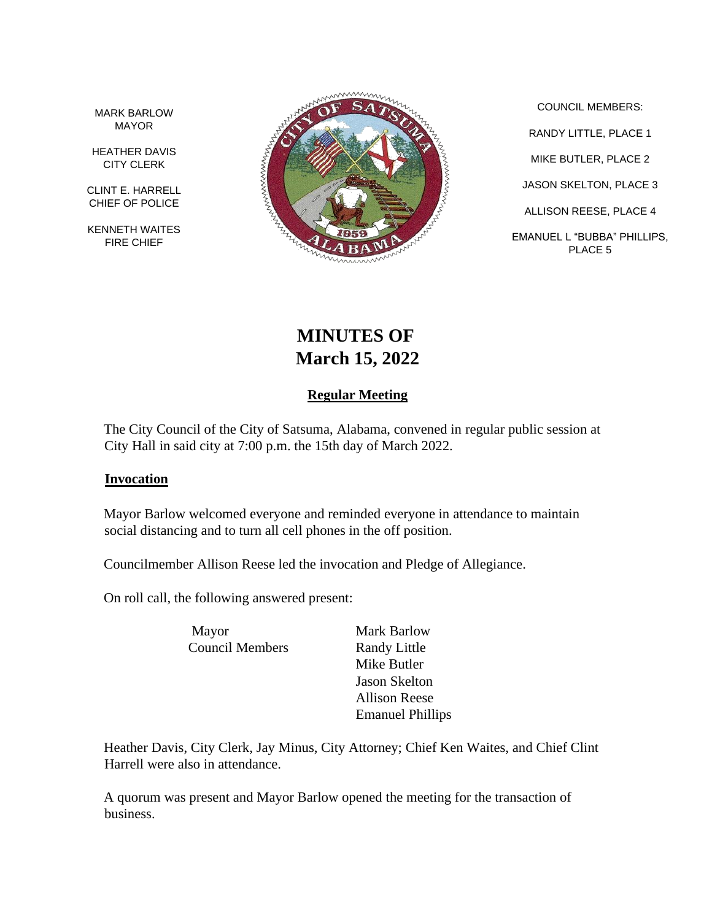MARK BARLOW MAYOR

HEATHER DAVIS CITY CLERK

CLINT E. HARRELL CHIEF OF POLICE

KENNETH WAITES FIRE CHIEF



COUNCIL MEMBERS: RANDY LITTLE, PLACE 1 MIKE BUTLER, PLACE 2 JASON SKELTON, PLACE 3 ALLISON REESE, PLACE 4 EMANUEL L "BUBBA" PHILLIPS, PLACE 5

# **MINUTES OF March 15, 2022**

## **Regular Meeting**

The City Council of the City of Satsuma, Alabama, convened in regular public session at City Hall in said city at 7:00 p.m. the 15th day of March 2022.

#### **Invocation**

Mayor Barlow welcomed everyone and reminded everyone in attendance to maintain social distancing and to turn all cell phones in the off position.

Councilmember Allison Reese led the invocation and Pledge of Allegiance.

On roll call, the following answered present:

Mayor Mark Barlow Council Members Randy Little

Mike Butler Jason Skelton Allison Reese Emanuel Phillips

Heather Davis, City Clerk, Jay Minus, City Attorney; Chief Ken Waites, and Chief Clint Harrell were also in attendance.

A quorum was present and Mayor Barlow opened the meeting for the transaction of business.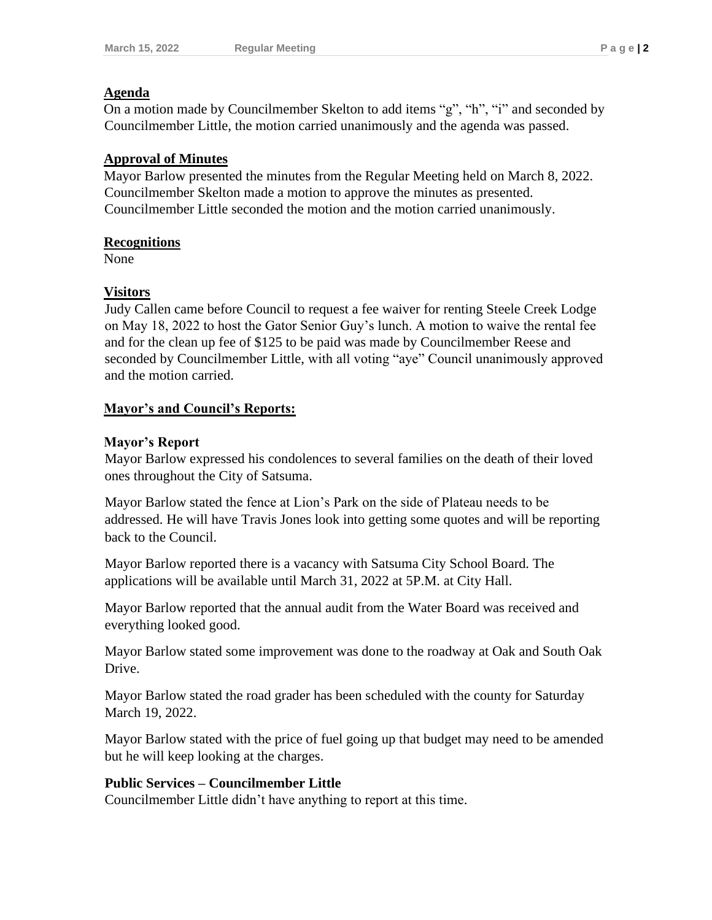#### **Agenda**

On a motion made by Councilmember Skelton to add items "g", "h", "i" and seconded by Councilmember Little, the motion carried unanimously and the agenda was passed.

#### **Approval of Minutes**

Mayor Barlow presented the minutes from the Regular Meeting held on March 8, 2022. Councilmember Skelton made a motion to approve the minutes as presented. Councilmember Little seconded the motion and the motion carried unanimously.

#### **Recognitions**

None

#### **Visitors**

Judy Callen came before Council to request a fee waiver for renting Steele Creek Lodge on May 18, 2022 to host the Gator Senior Guy's lunch. A motion to waive the rental fee and for the clean up fee of \$125 to be paid was made by Councilmember Reese and seconded by Councilmember Little, with all voting "aye" Council unanimously approved and the motion carried.

### **Mayor's and Council's Reports:**

#### **Mayor's Report**

Mayor Barlow expressed his condolences to several families on the death of their loved ones throughout the City of Satsuma.

Mayor Barlow stated the fence at Lion's Park on the side of Plateau needs to be addressed. He will have Travis Jones look into getting some quotes and will be reporting back to the Council.

Mayor Barlow reported there is a vacancy with Satsuma City School Board. The applications will be available until March 31, 2022 at 5P.M. at City Hall.

Mayor Barlow reported that the annual audit from the Water Board was received and everything looked good.

Mayor Barlow stated some improvement was done to the roadway at Oak and South Oak Drive.

Mayor Barlow stated the road grader has been scheduled with the county for Saturday March 19, 2022.

Mayor Barlow stated with the price of fuel going up that budget may need to be amended but he will keep looking at the charges.

### **Public Services – Councilmember Little**

Councilmember Little didn't have anything to report at this time.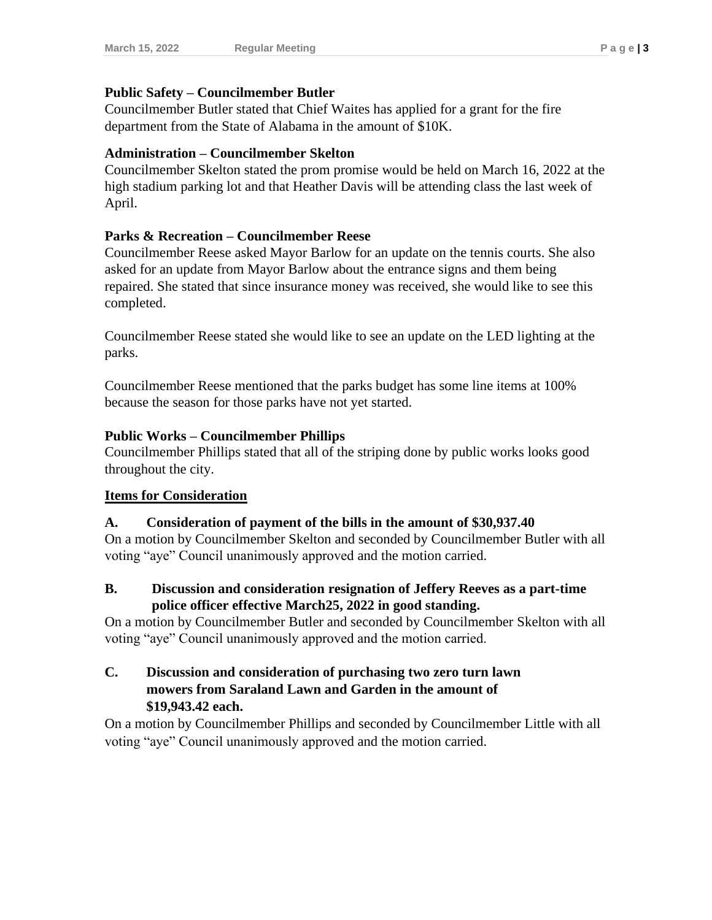#### **Public Safety – Councilmember Butler**

Councilmember Butler stated that Chief Waites has applied for a grant for the fire department from the State of Alabama in the amount of \$10K.

#### **Administration – Councilmember Skelton**

Councilmember Skelton stated the prom promise would be held on March 16, 2022 at the high stadium parking lot and that Heather Davis will be attending class the last week of April.

#### **Parks & Recreation – Councilmember Reese**

Councilmember Reese asked Mayor Barlow for an update on the tennis courts. She also asked for an update from Mayor Barlow about the entrance signs and them being repaired. She stated that since insurance money was received, she would like to see this completed.

Councilmember Reese stated she would like to see an update on the LED lighting at the parks.

Councilmember Reese mentioned that the parks budget has some line items at 100% because the season for those parks have not yet started.

#### **Public Works – Councilmember Phillips**

Councilmember Phillips stated that all of the striping done by public works looks good throughout the city.

### **Items for Consideration**

#### **A. Consideration of payment of the bills in the amount of \$30,937.40**

On a motion by Councilmember Skelton and seconded by Councilmember Butler with all voting "aye" Council unanimously approved and the motion carried.

#### **B. Discussion and consideration resignation of Jeffery Reeves as a part-time police officer effective March25, 2022 in good standing.**

On a motion by Councilmember Butler and seconded by Councilmember Skelton with all voting "aye" Council unanimously approved and the motion carried.

#### **C. Discussion and consideration of purchasing two zero turn lawn mowers from Saraland Lawn and Garden in the amount of \$19,943.42 each.**

On a motion by Councilmember Phillips and seconded by Councilmember Little with all voting "aye" Council unanimously approved and the motion carried.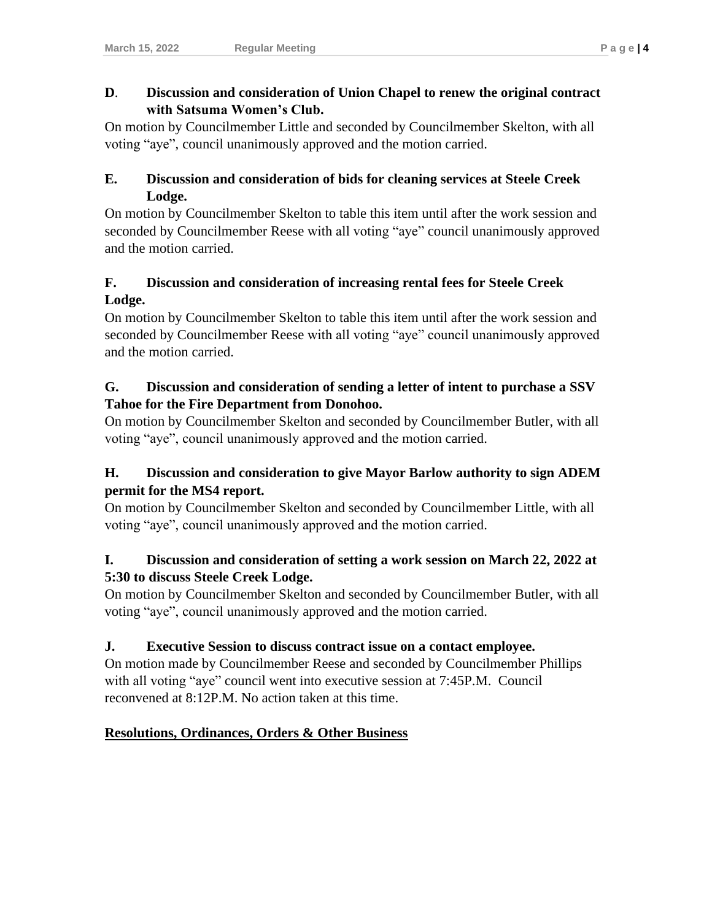### **D**. **Discussion and consideration of Union Chapel to renew the original contract with Satsuma Women's Club.**

On motion by Councilmember Little and seconded by Councilmember Skelton, with all voting "aye", council unanimously approved and the motion carried.

## **E. Discussion and consideration of bids for cleaning services at Steele Creek Lodge.**

On motion by Councilmember Skelton to table this item until after the work session and seconded by Councilmember Reese with all voting "aye" council unanimously approved and the motion carried.

## **F. Discussion and consideration of increasing rental fees for Steele Creek Lodge.**

On motion by Councilmember Skelton to table this item until after the work session and seconded by Councilmember Reese with all voting "aye" council unanimously approved and the motion carried.

## **G. Discussion and consideration of sending a letter of intent to purchase a SSV Tahoe for the Fire Department from Donohoo.**

On motion by Councilmember Skelton and seconded by Councilmember Butler, with all voting "aye", council unanimously approved and the motion carried.

# **H. Discussion and consideration to give Mayor Barlow authority to sign ADEM permit for the MS4 report.**

On motion by Councilmember Skelton and seconded by Councilmember Little, with all voting "aye", council unanimously approved and the motion carried.

## **I. Discussion and consideration of setting a work session on March 22, 2022 at 5:30 to discuss Steele Creek Lodge.**

On motion by Councilmember Skelton and seconded by Councilmember Butler, with all voting "aye", council unanimously approved and the motion carried.

# **J. Executive Session to discuss contract issue on a contact employee.**

On motion made by Councilmember Reese and seconded by Councilmember Phillips with all voting "aye" council went into executive session at 7:45P.M. Council reconvened at 8:12P.M. No action taken at this time.

## **Resolutions, Ordinances, Orders & Other Business**